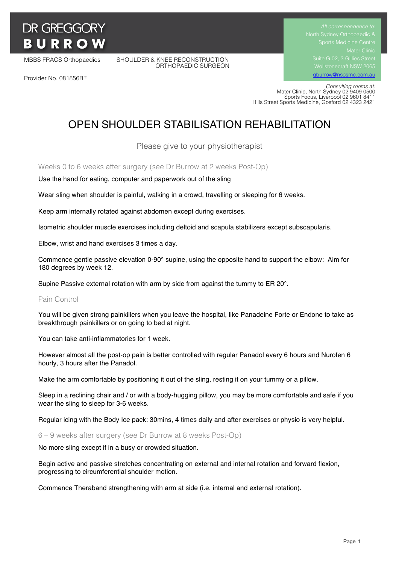# **DR GREGGORY BURROW**

Provider No. 081856BF

MBBS FRACS Orthopaedics SHOULDER & KNEE RECONSTRUCTION ORTHOPAEDIC SURGEON Suite G.02, 3 Gillies Street Wollstonecraft NSW 2065 gburrow@nsosmc.com.au

 *Consulting rooms at:* Mater Clinic, North Sydney 02 9409 0500 Sports Focus, Liverpool 02 9601 8411 Hills Street Sports Medicine, Gosford 02 4323 2421

# OPEN SHOULDER STABILISATION REHABILITATION

Please give to your physiotherapist

Weeks 0 to 6 weeks after surgery (see Dr Burrow at 2 weeks Post-Op)

Use the hand for eating, computer and paperwork out of the sling

Wear sling when shoulder is painful, walking in a crowd, travelling or sleeping for 6 weeks.

Keep arm internally rotated against abdomen except during exercises.

Isometric shoulder muscle exercises including deltoid and scapula stabilizers except subscapularis.

Elbow, wrist and hand exercises 3 times a day.

Commence gentle passive elevation 0-90° supine, using the opposite hand to support the elbow: Aim for 180 degrees by week 12.

Supine Passive external rotation with arm by side from against the tummy to ER 20°.

#### Pain Control

You will be given strong painkillers when you leave the hospital, like Panadeine Forte or Endone to take as breakthrough painkillers or on going to bed at night.

You can take anti-inflammatories for 1 week.

However almost all the post-op pain is better controlled with regular Panadol every 6 hours and Nurofen 6 hourly, 3 hours after the Panadol.

Make the arm comfortable by positioning it out of the sling, resting it on your tummy or a pillow.

Sleep in a reclining chair and / or with a body-hugging pillow, you may be more comfortable and safe if you wear the sling to sleep for 3-6 weeks.

Regular icing with the Body Ice pack: 30mins, 4 times daily and after exercises or physio is very helpful.

6 – 9 weeks after surgery (see Dr Burrow at 8 weeks Post-Op)

No more sling except if in a busy or crowded situation.

Begin active and passive stretches concentrating on external and internal rotation and forward flexion, progressing to circumferential shoulder motion.

Commence Theraband strengthening with arm at side (i.e. internal and external rotation).